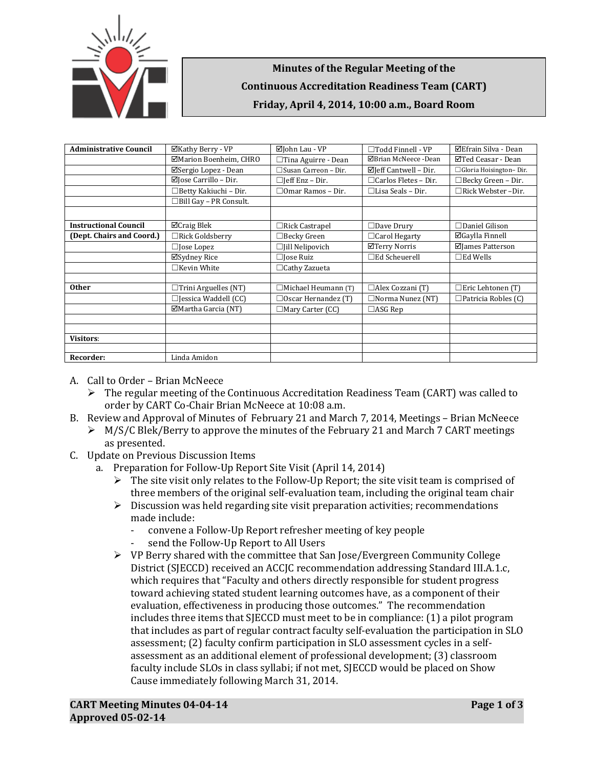

## **Minutes of the Regular Meeting of the Continuous Accreditation Readiness Team (CART) Friday, April 4, 2014, 10:00 a.m., Board Room**

| <b>Administrative Council</b> | ⊠Kathy Berry - VP                | $\boxtimes$ John Lau - VP  | $\Box$ Todd Finnell - VP         | ⊠Efrain Silva - Dean       |
|-------------------------------|----------------------------------|----------------------------|----------------------------------|----------------------------|
|                               | ⊠Marion Boenheim, CHRO           | $\Box$ Tina Aguirre - Dean | ⊠Brian McNeece -Dean             | ⊠Ted Ceasar - Dean         |
|                               | ⊠Sergio Lopez - Dean             | □Susan Carreon - Dir.      | $\boxtimes$ Jeff Cantwell – Dir. | □ Gloria Hoisington-Dir.   |
|                               | $\boxtimes$ Jose Carrillo – Dir. | $\Box$ [eff Enz – Dir.     | $\Box$ Carlos Fletes - Dir.      | $\Box$ Becky Green - Dir.  |
|                               | □Betty Kakiuchi - Dir.           | $\Box$ Omar Ramos – Dir.   | $\Box$ Lisa Seals – Dir.         | □Rick Webster-Dir.         |
|                               | □Bill Gay - PR Consult.          |                            |                                  |                            |
|                               |                                  |                            |                                  |                            |
| <b>Instructional Council</b>  | $\Box$ Craig Blek                | $\Box$ Rick Castrapel      | $\Box$ Dave Drury                | $\Box$ Daniel Gilison      |
| (Dept. Chairs and Coord.)     | □Rick Goldsberry                 | $\Box$ Becky Green         | □ Carol Hegarty                  | ⊠Gaylla Finnell            |
|                               | $\Box$ Jose Lopez                | $\Box$ [ill Nelipovich     | ⊠Terry Norris                    | ⊠James Patterson           |
|                               | ⊠Sydney Rice                     | $\Box$ Jose Ruiz           | $\Box$ Ed Scheuerell             | $\square$ Ed Wells         |
|                               | $\Box$ Kevin White               | $\Box$ Cathy Zazueta       |                                  |                            |
|                               |                                  |                            |                                  |                            |
| <b>Other</b>                  | $\Box$ Trini Arguelles (NT)      | $\Box$ Michael Heumann (T) | $\Box$ Alex Cozzani (T)          | $\Box$ Eric Lehtonen (T)   |
|                               | $\Box$ Jessica Waddell (CC)      | $\Box$ Oscar Hernandez (T) | $\Box$ Norma Nunez (NT)          | $\Box$ Patricia Robles (C) |
|                               | $\Box$ Martha Garcia (NT)        | $\Box$ Mary Carter (CC)    | $\Box$ ASG Rep                   |                            |
|                               |                                  |                            |                                  |                            |
|                               |                                  |                            |                                  |                            |
| <b>Visitors:</b>              |                                  |                            |                                  |                            |
|                               |                                  |                            |                                  |                            |
| Recorder:                     | Linda Amidon                     |                            |                                  |                            |

- A. Call to Order Brian McNeece
	- $\triangleright$  The regular meeting of the Continuous Accreditation Readiness Team (CART) was called to order by CART Co-Chair Brian McNeece at 10:08 a.m.
- B. Review and Approval of Minutes of February 21 and March 7, 2014, Meetings Brian McNeece  $\triangleright$  M/S/C Blek/Berry to approve the minutes of the February 21 and March 7 CART meetings as presented.
- C. Update on Previous Discussion Items
	- a. Preparation for Follow-Up Report Site Visit (April 14, 2014)
		- $\triangleright$  The site visit only relates to the Follow-Up Report; the site visit team is comprised of three members of the original self-evaluation team, including the original team chair
		- $\triangleright$  Discussion was held regarding site visit preparation activities; recommendations made include:
			- convene a Follow-Up Report refresher meeting of key people
			- send the Follow-Up Report to All Users
		- VP Berry shared with the committee that San Jose/Evergreen Community College District (SJECCD) received an ACCJC recommendation addressing Standard III.A.1.c, which requires that "Faculty and others directly responsible for student progress toward achieving stated student learning outcomes have, as a component of their evaluation, effectiveness in producing those outcomes." The recommendation includes three items that SJECCD must meet to be in compliance: (1) a pilot program that includes as part of regular contract faculty self-evaluation the participation in SLO assessment; (2) faculty confirm participation in SLO assessment cycles in a selfassessment as an additional element of professional development; (3) classroom faculty include SLOs in class syllabi; if not met, SJECCD would be placed on Show Cause immediately following March 31, 2014.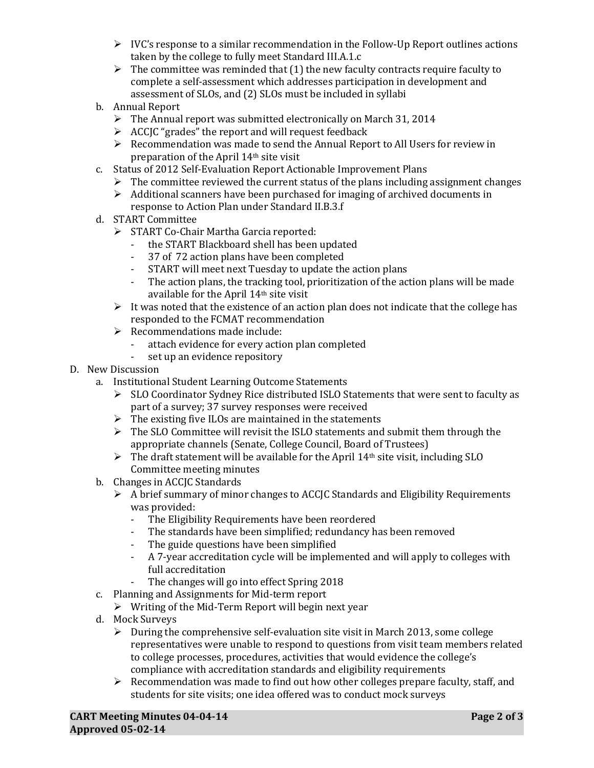- $\triangleright$  IVC's response to a similar recommendation in the Follow-Up Report outlines actions taken by the college to fully meet Standard III.A.1.c
- $\triangleright$  The committee was reminded that (1) the new faculty contracts require faculty to complete a self-assessment which addresses participation in development and assessment of SLOs, and (2) SLOs must be included in syllabi
- b. Annual Report
	- $\triangleright$  The Annual report was submitted electronically on March 31, 2014
	- $\triangleright$  ACCJC "grades" the report and will request feedback
	- $\triangleright$  Recommendation was made to send the Annual Report to All Users for review in preparation of the April 14th site visit
- c. Status of 2012 Self-Evaluation Report Actionable Improvement Plans
	- $\triangleright$  The committee reviewed the current status of the plans including assignment changes
	- $\triangleright$  Additional scanners have been purchased for imaging of archived documents in response to Action Plan under Standard II.B.3.f
- d. START Committee
	- START Co-Chair Martha Garcia reported:<br>Fig. 5. The START Blackboard shell has been
		- the START Blackboard shell has been updated
		- 37 of 72 action plans have been completed
		- START will meet next Tuesday to update the action plans<br>- The action plans, the tracking tool, prioritization of the ac
		- The action plans, the tracking tool, prioritization of the action plans will be made available for the April 14th site visit
	- $\triangleright$  It was noted that the existence of an action plan does not indicate that the college has responded to the FCMAT recommendation
	- $\triangleright$  Recommendations made include:<br> $\cdot$  attach evidence for every actional
		- attach evidence for every action plan completed<br>- set un an evidence repository
		- set up an evidence repository
- D. New Discussion
	- a. Institutional Student Learning Outcome Statements
		- $\triangleright$  SLO Coordinator Sydney Rice distributed ISLO Statements that were sent to faculty as part of a survey; 37 survey responses were received
		- $\triangleright$  The existing five ILOs are maintained in the statements
		- $\triangleright$  The SLO Committee will revisit the ISLO statements and submit them through the appropriate channels (Senate, College Council, Board of Trustees)
		- $\triangleright$  The draft statement will be available for the April 14<sup>th</sup> site visit, including SLO Committee meeting minutes
	- b. Changes in ACCJC Standards
		- $\triangleright$  A brief summary of minor changes to ACCJC Standards and Eligibility Requirements was provided:<br>- The Eligibi
			- The Eligibility Requirements have been reordered
			- The standards have been simplified; redundancy has been removed<br>- The guide questions have been simplified
			- The guide questions have been simplified
			- A 7-year accreditation cycle will be implemented and will apply to colleges with full accreditation
			- The changes will go into effect Spring 2018
	- c. Planning and Assignments for Mid-term report
		- $\triangleright$  Writing of the Mid-Term Report will begin next year
	- d. Mock Surveys
		- $\triangleright$  During the comprehensive self-evaluation site visit in March 2013, some college representatives were unable to respond to questions from visit team members related to college processes, procedures, activities that would evidence the college's compliance with accreditation standards and eligibility requirements
		- $\triangleright$  Recommendation was made to find out how other colleges prepare faculty, staff, and students for site visits; one idea offered was to conduct mock surveys